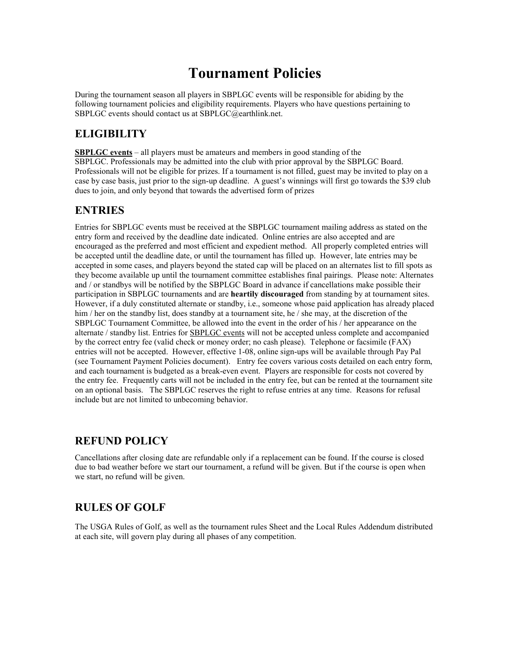# **Tournament Policies**

During the tournament season all players in SBPLGC events will be responsible for abiding by the following tournament policies and eligibility requirements. Players who have questions pertaining to SBPLGC events should contact us at SBPLGC@earthlink.net.

## **ELIGIBILITY**

**SBPLGC events** – all players must be amateurs and members in good standing of the SBPLGC. Professionals may be admitted into the club with prior approval by the SBPLGC Board. Professionals will not be eligible for prizes. If a tournament is not filled, guest may be invited to play on a case by case basis, just prior to the sign-up deadline. A guest's winnings will first go towards the \$39 club dues to join, and only beyond that towards the advertised form of prizes

#### **ENTRIES**

Entries for SBPLGC events must be received at the SBPLGC tournament mailing address as stated on the entry form and received by the deadline date indicated. Online entries are also accepted and are encouraged as the preferred and most efficient and expedient method. All properly completed entries will be accepted until the deadline date, or until the tournament has filled up. However, late entries may be accepted in some cases, and players beyond the stated cap will be placed on an alternates list to fill spots as they become available up until the tournament committee establishes final pairings. Please note: Alternates and / or standbys will be notified by the SBPLGC Board in advance if cancellations make possible their participation in SBPLGC tournaments and are **heartily discouraged** from standing by at tournament sites. However, if a duly constituted alternate or standby, i.e., someone whose paid application has already placed him / her on the standby list, does standby at a tournament site, he / she may, at the discretion of the SBPLGC Tournament Committee, be allowed into the event in the order of his / her appearance on the alternate / standby list. Entries for SBPLGC events will not be accepted unless complete and accompanied by the correct entry fee (valid check or money order; no cash please). Telephone or facsimile (FAX) entries will not be accepted. However, effective 1-08, online sign-ups will be available through Pay Pal (see Tournament Payment Policies document). Entry fee covers various costs detailed on each entry form, and each tournament is budgeted as a break-even event. Players are responsible for costs not covered by the entry fee. Frequently carts will not be included in the entry fee, but can be rented at the tournament site on an optional basis. The SBPLGC reserves the right to refuse entries at any time. Reasons for refusal include but are not limited to unbecoming behavior.

#### **REFUND POLICY**

Cancellations after closing date are refundable only if a replacement can be found. If the course is closed due to bad weather before we start our tournament, a refund will be given. But if the course is open when we start, no refund will be given.

# **RULES OF GOLF**

The USGA Rules of Golf, as well as the tournament rules Sheet and the Local Rules Addendum distributed at each site, will govern play during all phases of any competition.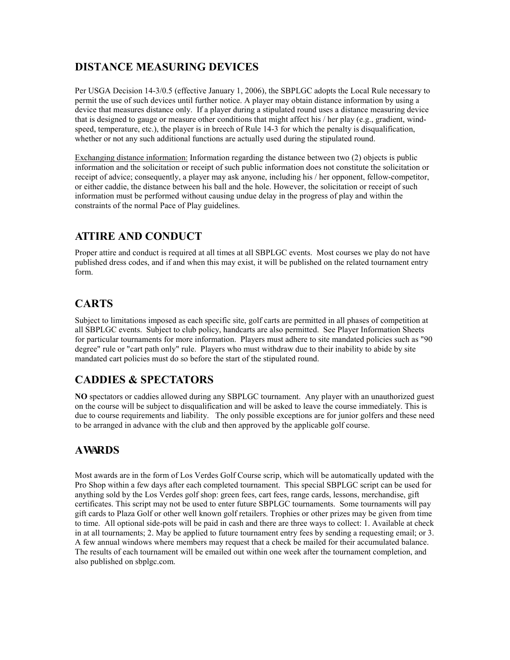## **DISTANCE MEASURING DEVICES**

Per USGA Decision 14-3/0.5 (effective January 1, 2006), the SBPLGC adopts the Local Rule necessary to permit the use of such devices until further notice. A player may obtain distance information by using a device that measures distance only. If a player during a stipulated round uses a distance measuring device that is designed to gauge or measure other conditions that might affect his / her play (e.g., gradient, windspeed, temperature, etc.), the player is in breech of Rule 14-3 for which the penalty is disqualification, whether or not any such additional functions are actually used during the stipulated round.

Exchanging distance information: Information regarding the distance between two (2) objects is public information and the solicitation or receipt of such public information does not constitute the solicitation or receipt of advice; consequently, a player may ask anyone, including his / her opponent, fellow-competitor, or either caddie, the distance between his ball and the hole. However, the solicitation or receipt of such information must be performed without causing undue delay in the progress of play and within the constraints of the normal Pace of Play guidelines.

#### **ATTIRE AND CONDUCT**

Proper attire and conduct is required at all times at all SBPLGC events. Most courses we play do not have published dress codes, and if and when this may exist, it will be published on the related tournament entry form.

# **CARTS**

Subject to limitations imposed as each specific site, golf carts are permitted in all phases of competition at all SBPLGC events. Subject to club policy, handcarts are also permitted. See Player Information Sheets for particular tournaments for more information. Players must adhere to site mandated policies such as "90 degree" rule or "cart path only" rule. Players who must withdraw due to their inability to abide by site mandated cart policies must do so before the start of the stipulated round.

# **CADDIES & SPECTATORS**

**NO** spectators or caddies allowed during any SBPLGC tournament. Any player with an unauthorized guest on the course will be subject to disqualification and will be asked to leave the course immediately. This is due to course requirements and liability. The only possible exceptions are for junior golfers and these need to be arranged in advance with the club and then approved by the applicable golf course.

# **AWARDS**

Most awards are in the form of Los Verdes Golf Course scrip, which will be automatically updated with the Pro Shop within a few days after each completed tournament. This special SBPLGC script can be used for anything sold by the Los Verdes golf shop: green fees, cart fees, range cards, lessons, merchandise, gift certificates. This script may not be used to enter future SBPLGC tournaments. Some tournaments will pay gift cards to Plaza Golf or other well known golf retailers. Trophies or other prizes may be given from time to time. All optional side-pots will be paid in cash and there are three ways to collect: 1. Available at check in at all tournaments; 2. May be applied to future tournament entry fees by sending a requesting email; or 3. A few annual windows where members may request that a check be mailed for their accumulated balance. The results of each tournament will be emailed out within one week after the tournament completion, and also published on sbplgc.com.